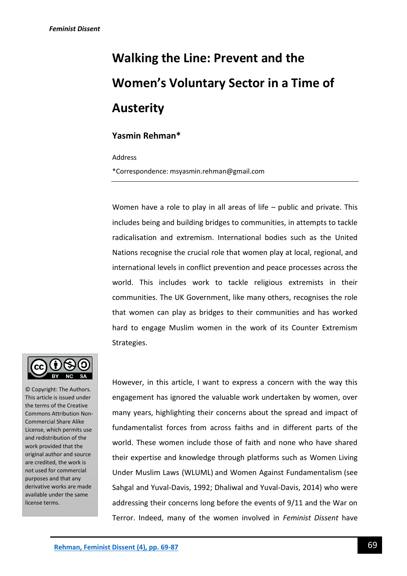# **Walking the Line: Prevent and the Women's Voluntary Sector in a Time of Austerity**

# **Yasmin Rehman\***

Address

\*Correspondence: msyasmin.rehman@gmail.com

Women have a role to play in all areas of life – public and private. This includes being and building bridges to communities, in attempts to tackle radicalisation and extremism. International bodies such as the United Nations recognise the crucial role that women play at local, regional, and international levels in conflict prevention and peace processes across the world. This includes work to tackle religious extremists in their communities. The UK Government, like many others, recognises the role that women can play as bridges to their communities and has worked hard to engage Muslim women in the work of its Counter Extremism Strategies.



© Copyright: The Authors. This article is issued under the terms of the Creative Commons Attribution Non-Commercial Share Alike License, which permits use and redistribution of the work provided that the original author and source are credited, the work is not used for commercial purposes and that any derivative works are made available under the same license terms.

However, in this article, I want to express a concern with the way this engagement has ignored the valuable work undertaken by women, over many years, highlighting their concerns about the spread and impact of fundamentalist forces from across faiths and in different parts of the world. These women include those of faith and none who have shared their expertise and knowledge through platforms such as Women Living Under Muslim Laws (WLUML) and Women Against Fundamentalism (see Sahgal and Yuval-Davis, 1992; Dhaliwal and Yuval-Davis, 2014) who were addressing their concerns long before the events of 9/11 and the War on Terror. Indeed, many of the women involved in *Feminist Dissent* have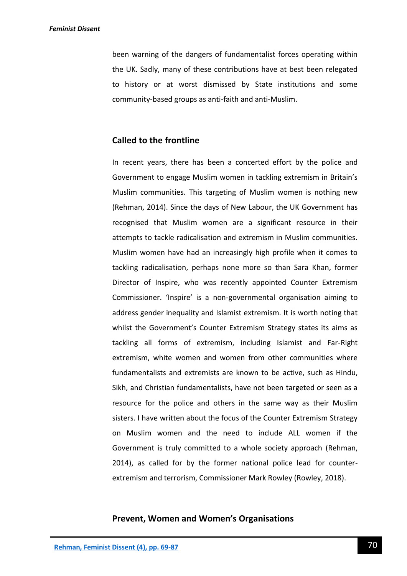been warning of the dangers of fundamentalist forces operating within the UK. Sadly, many of these contributions have at best been relegated to history or at worst dismissed by State institutions and some community-based groups as anti-faith and anti-Muslim.

# **Called to the frontline**

In recent years, there has been a concerted effort by the police and Government to engage Muslim women in tackling extremism in Britain's Muslim communities. This targeting of Muslim women is nothing new (Rehman, 2014). Since the days of New Labour, the UK Government has recognised that Muslim women are a significant resource in their attempts to tackle radicalisation and extremism in Muslim communities. Muslim women have had an increasingly high profile when it comes to tackling radicalisation, perhaps none more so than Sara Khan, former Director of Inspire, who was recently appointed Counter Extremism Commissioner. 'Inspire' is a non-governmental organisation aiming to address gender inequality and Islamist extremism. It is worth noting that whilst the Government's Counter Extremism Strategy states its aims as tackling all forms of extremism, including Islamist and Far-Right extremism, white women and women from other communities where fundamentalists and extremists are known to be active, such as Hindu, Sikh, and Christian fundamentalists, have not been targeted or seen as a resource for the police and others in the same way as their Muslim sisters. I have written about the focus of the Counter Extremism Strategy on Muslim women and the need to include ALL women if the Government is truly committed to a whole society approach (Rehman, 2014), as called for by the former national police lead for counterextremism and terrorism, Commissioner Mark Rowley (Rowley, 2018).

## **Prevent, Women and Women's Organisations**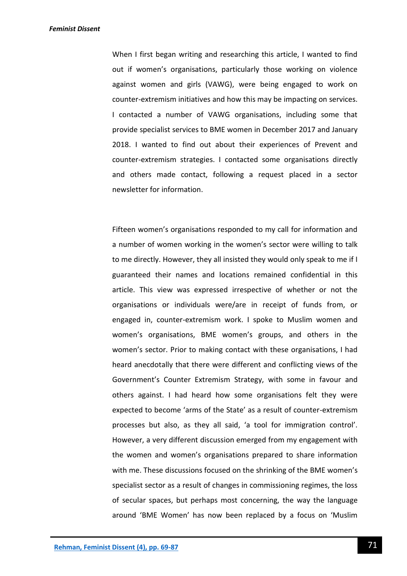When I first began writing and researching this article, I wanted to find out if women's organisations, particularly those working on violence against women and girls (VAWG), were being engaged to work on counter-extremism initiatives and how this may be impacting on services. I contacted a number of VAWG organisations, including some that provide specialist services to BME women in December 2017 and January 2018. I wanted to find out about their experiences of Prevent and counter-extremism strategies. I contacted some organisations directly and others made contact, following a request placed in a sector newsletter for information.

Fifteen women's organisations responded to my call for information and a number of women working in the women's sector were willing to talk to me directly. However, they all insisted they would only speak to me if I guaranteed their names and locations remained confidential in this article. This view was expressed irrespective of whether or not the organisations or individuals were/are in receipt of funds from, or engaged in, counter-extremism work. I spoke to Muslim women and women's organisations, BME women's groups, and others in the women's sector. Prior to making contact with these organisations, I had heard anecdotally that there were different and conflicting views of the Government's Counter Extremism Strategy, with some in favour and others against. I had heard how some organisations felt they were expected to become 'arms of the State' as a result of counter-extremism processes but also, as they all said, 'a tool for immigration control'. However, a very different discussion emerged from my engagement with the women and women's organisations prepared to share information with me. These discussions focused on the shrinking of the BME women's specialist sector as a result of changes in commissioning regimes, the loss of secular spaces, but perhaps most concerning, the way the language around 'BME Women' has now been replaced by a focus on 'Muslim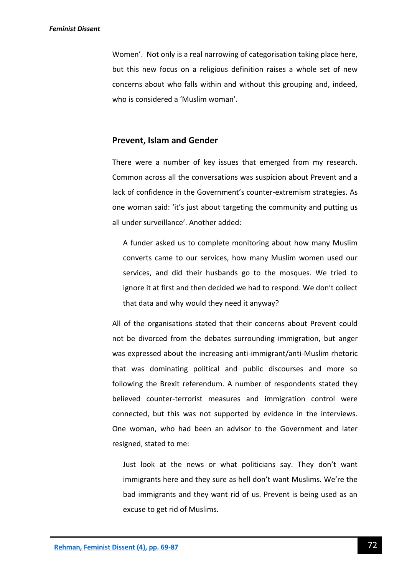Women'. Not only is a real narrowing of categorisation taking place here, but this new focus on a religious definition raises a whole set of new concerns about who falls within and without this grouping and, indeed, who is considered a 'Muslim woman'.

# **Prevent, Islam and Gender**

There were a number of key issues that emerged from my research. Common across all the conversations was suspicion about Prevent and a lack of confidence in the Government's counter-extremism strategies. As one woman said: 'it's just about targeting the community and putting us all under surveillance'. Another added:

A funder asked us to complete monitoring about how many Muslim converts came to our services, how many Muslim women used our services, and did their husbands go to the mosques. We tried to ignore it at first and then decided we had to respond. We don't collect that data and why would they need it anyway?

All of the organisations stated that their concerns about Prevent could not be divorced from the debates surrounding immigration, but anger was expressed about the increasing anti-immigrant/anti-Muslim rhetoric that was dominating political and public discourses and more so following the Brexit referendum. A number of respondents stated they believed counter-terrorist measures and immigration control were connected, but this was not supported by evidence in the interviews. One woman, who had been an advisor to the Government and later resigned, stated to me:

Just look at the news or what politicians say. They don't want immigrants here and they sure as hell don't want Muslims. We're the bad immigrants and they want rid of us. Prevent is being used as an excuse to get rid of Muslims.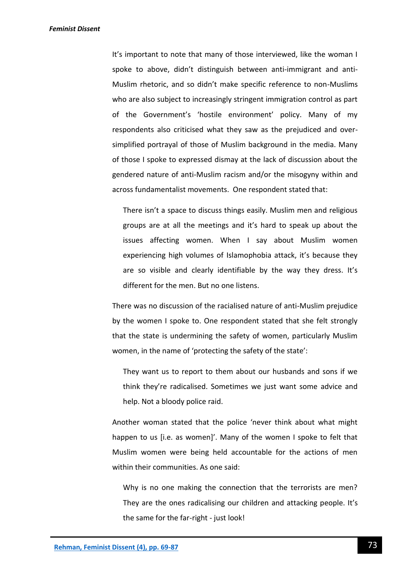It's important to note that many of those interviewed, like the woman I spoke to above, didn't distinguish between anti-immigrant and anti-Muslim rhetoric, and so didn't make specific reference to non-Muslims who are also subject to increasingly stringent immigration control as part of the Government's 'hostile environment' policy. Many of my respondents also criticised what they saw as the prejudiced and oversimplified portrayal of those of Muslim background in the media. Many of those I spoke to expressed dismay at the lack of discussion about the gendered nature of anti-Muslim racism and/or the misogyny within and across fundamentalist movements. One respondent stated that:

There isn't a space to discuss things easily. Muslim men and religious groups are at all the meetings and it's hard to speak up about the issues affecting women. When I say about Muslim women experiencing high volumes of Islamophobia attack, it's because they are so visible and clearly identifiable by the way they dress. It's different for the men. But no one listens.

There was no discussion of the racialised nature of anti-Muslim prejudice by the women I spoke to. One respondent stated that she felt strongly that the state is undermining the safety of women, particularly Muslim women, in the name of 'protecting the safety of the state':

They want us to report to them about our husbands and sons if we think they're radicalised. Sometimes we just want some advice and help. Not a bloody police raid.

Another woman stated that the police 'never think about what might happen to us [i.e. as women]'. Many of the women I spoke to felt that Muslim women were being held accountable for the actions of men within their communities. As one said:

Why is no one making the connection that the terrorists are men? They are the ones radicalising our children and attacking people. It's the same for the far-right - just look!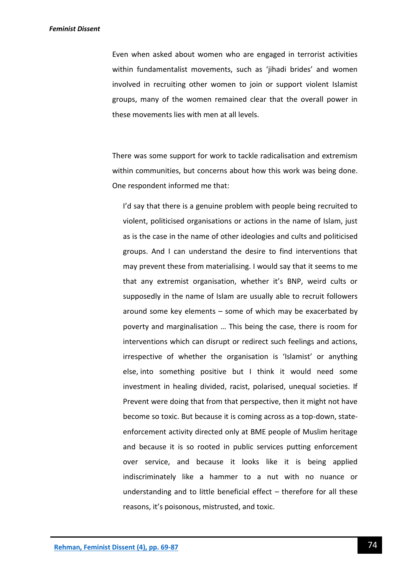Even when asked about women who are engaged in terrorist activities within fundamentalist movements, such as 'jihadi brides' and women involved in recruiting other women to join or support violent Islamist groups, many of the women remained clear that the overall power in these movements lies with men at all levels.

There was some support for work to tackle radicalisation and extremism within communities, but concerns about how this work was being done. One respondent informed me that:

I'd say that there is a genuine problem with people being recruited to violent, politicised organisations or actions in the name of Islam, just as is the case in the name of other ideologies and cults and politicised groups. And I can understand the desire to find interventions that may prevent these from materialising. I would say that it seems to me that any extremist organisation, whether it's BNP, weird cults or supposedly in the name of Islam are usually able to recruit followers around some key elements – some of which may be exacerbated by poverty and marginalisation … This being the case, there is room for interventions which can disrupt or redirect such feelings and actions, irrespective of whether the organisation is 'Islamist' or anything else, into something positive but I think it would need some investment in healing divided, racist, polarised, unequal societies. If Prevent were doing that from that perspective, then it might not have become so toxic. But because it is coming across as a top-down, stateenforcement activity directed only at BME people of Muslim heritage and because it is so rooted in public services putting enforcement over service, and because it looks like it is being applied indiscriminately like a hammer to a nut with no nuance or understanding and to little beneficial effect – therefore for all these reasons, it's poisonous, mistrusted, and toxic.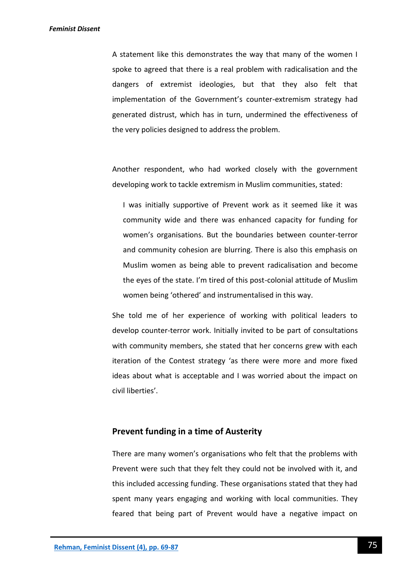A statement like this demonstrates the way that many of the women I spoke to agreed that there is a real problem with radicalisation and the dangers of extremist ideologies, but that they also felt that implementation of the Government's counter-extremism strategy had generated distrust, which has in turn, undermined the effectiveness of the very policies designed to address the problem.

Another respondent, who had worked closely with the government developing work to tackle extremism in Muslim communities, stated:

I was initially supportive of Prevent work as it seemed like it was community wide and there was enhanced capacity for funding for women's organisations. But the boundaries between counter-terror and community cohesion are blurring. There is also this emphasis on Muslim women as being able to prevent radicalisation and become the eyes of the state. I'm tired of this post-colonial attitude of Muslim women being 'othered' and instrumentalised in this way.

She told me of her experience of working with political leaders to develop counter-terror work. Initially invited to be part of consultations with community members, she stated that her concerns grew with each iteration of the Contest strategy 'as there were more and more fixed ideas about what is acceptable and I was worried about the impact on civil liberties'.

# **Prevent funding in a time of Austerity**

There are many women's organisations who felt that the problems with Prevent were such that they felt they could not be involved with it, and this included accessing funding. These organisations stated that they had spent many years engaging and working with local communities. They feared that being part of Prevent would have a negative impact on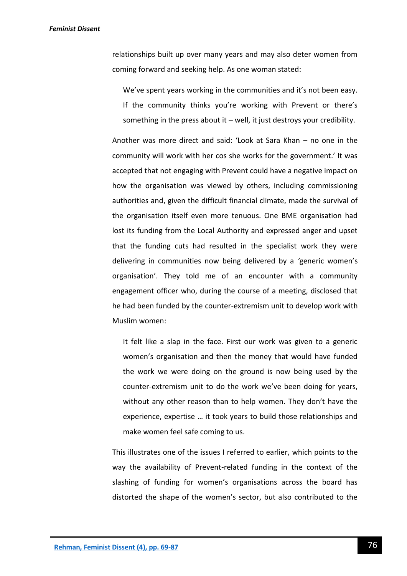relationships built up over many years and may also deter women from coming forward and seeking help. As one woman stated:

We've spent years working in the communities and it's not been easy. If the community thinks you're working with Prevent or there's something in the press about it – well, it just destroys your credibility.

Another was more direct and said: 'Look at Sara Khan – no one in the community will work with her cos she works for the government.' It was accepted that not engaging with Prevent could have a negative impact on how the organisation was viewed by others, including commissioning authorities and, given the difficult financial climate, made the survival of the organisation itself even more tenuous. One BME organisation had lost its funding from the Local Authority and expressed anger and upset that the funding cuts had resulted in the specialist work they were delivering in communities now being delivered by a *'*generic women's organisation'. They told me of an encounter with a community engagement officer who, during the course of a meeting, disclosed that he had been funded by the counter-extremism unit to develop work with Muslim women:

It felt like a slap in the face. First our work was given to a generic women's organisation and then the money that would have funded the work we were doing on the ground is now being used by the counter-extremism unit to do the work we've been doing for years, without any other reason than to help women. They don't have the experience, expertise … it took years to build those relationships and make women feel safe coming to us.

This illustrates one of the issues I referred to earlier, which points to the way the availability of Prevent-related funding in the context of the slashing of funding for women's organisations across the board has distorted the shape of the women's sector, but also contributed to the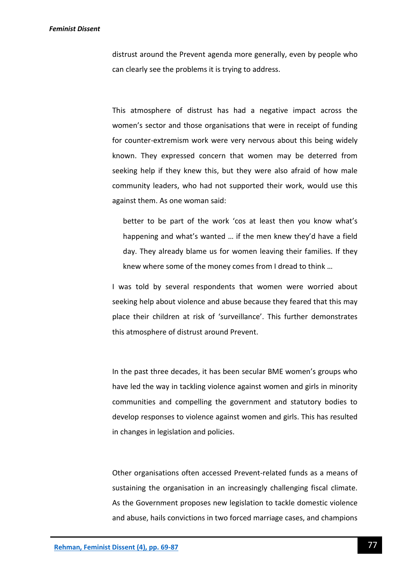distrust around the Prevent agenda more generally, even by people who can clearly see the problems it is trying to address.

This atmosphere of distrust has had a negative impact across the women's sector and those organisations that were in receipt of funding for counter-extremism work were very nervous about this being widely known. They expressed concern that women may be deterred from seeking help if they knew this, but they were also afraid of how male community leaders, who had not supported their work, would use this against them. As one woman said:

better to be part of the work 'cos at least then you know what's happening and what's wanted … if the men knew they'd have a field day. They already blame us for women leaving their families. If they knew where some of the money comes from I dread to think …

I was told by several respondents that women were worried about seeking help about violence and abuse because they feared that this may place their children at risk of 'surveillance'. This further demonstrates this atmosphere of distrust around Prevent.

In the past three decades, it has been secular BME women's groups who have led the way in tackling violence against women and girls in minority communities and compelling the government and statutory bodies to develop responses to violence against women and girls. This has resulted in changes in legislation and policies.

Other organisations often accessed Prevent-related funds as a means of sustaining the organisation in an increasingly challenging fiscal climate. As the Government proposes new legislation to tackle domestic violence and abuse, hails convictions in two forced marriage cases, and champions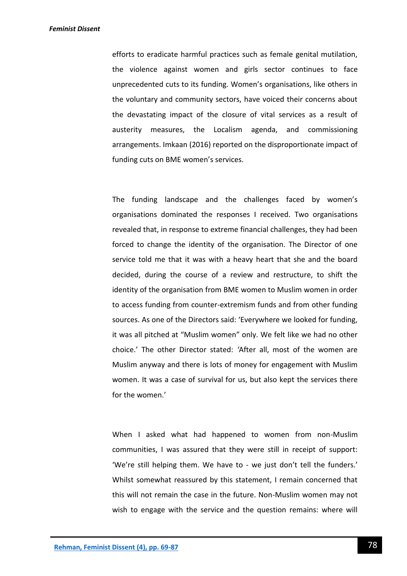efforts to eradicate harmful practices such as female genital mutilation, the violence against women and girls sector continues to face unprecedented cuts to its funding. Women's organisations, like others in the voluntary and community sectors, have voiced their concerns about the devastating impact of the closure of vital services as a result of austerity measures, the Localism agenda, and commissioning arrangements. Imkaan (2016) reported on the disproportionate impact of funding cuts on BME women's services.

The funding landscape and the challenges faced by women's organisations dominated the responses I received. Two organisations revealed that, in response to extreme financial challenges, they had been forced to change the identity of the organisation. The Director of one service told me that it was with a heavy heart that she and the board decided, during the course of a review and restructure, to shift the identity of the organisation from BME women to Muslim women in order to access funding from counter-extremism funds and from other funding sources. As one of the Directors said: 'Everywhere we looked for funding, it was all pitched at "Muslim women" only. We felt like we had no other choice.' The other Director stated: *'*After all, most of the women are Muslim anyway and there is lots of money for engagement with Muslim women. It was a case of survival for us, but also kept the services there for the women.'

When I asked what had happened to women from non-Muslim communities, I was assured that they were still in receipt of support: 'We're still helping them. We have to - we just don't tell the funders.' Whilst somewhat reassured by this statement, I remain concerned that this will not remain the case in the future. Non-Muslim women may not wish to engage with the service and the question remains: where will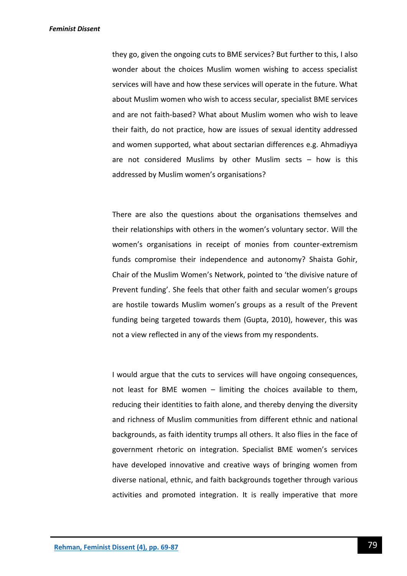they go, given the ongoing cuts to BME services? But further to this, I also wonder about the choices Muslim women wishing to access specialist services will have and how these services will operate in the future. What about Muslim women who wish to access secular, specialist BME services and are not faith-based? What about Muslim women who wish to leave their faith, do not practice, how are issues of sexual identity addressed and women supported, what about sectarian differences e.g. Ahmadiyya are not considered Muslims by other Muslim sects  $-$  how is this addressed by Muslim women's organisations?

There are also the questions about the organisations themselves and their relationships with others in the women's voluntary sector. Will the women's organisations in receipt of monies from counter-extremism funds compromise their independence and autonomy? Shaista Gohir, Chair of the Muslim Women's Network, pointed to 'the divisive nature of Prevent funding'. She feels that other faith and secular women's groups are hostile towards Muslim women's groups as a result of the Prevent funding being targeted towards them (Gupta, 2010), however, this was not a view reflected in any of the views from my respondents.

I would argue that the cuts to services will have ongoing consequences, not least for BME women – limiting the choices available to them, reducing their identities to faith alone, and thereby denying the diversity and richness of Muslim communities from different ethnic and national backgrounds, as faith identity trumps all others. It also flies in the face of government rhetoric on integration. Specialist BME women's services have developed innovative and creative ways of bringing women from diverse national, ethnic, and faith backgrounds together through various activities and promoted integration. It is really imperative that more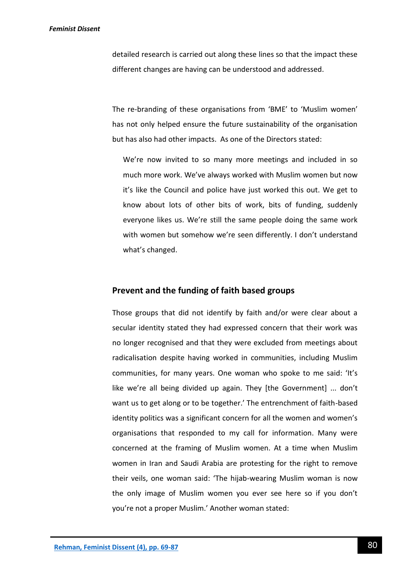detailed research is carried out along these lines so that the impact these different changes are having can be understood and addressed.

The re-branding of these organisations from 'BME' to 'Muslim women' has not only helped ensure the future sustainability of the organisation but has also had other impacts. As one of the Directors stated:

We're now invited to so many more meetings and included in so much more work. We've always worked with Muslim women but now it's like the Council and police have just worked this out. We get to know about lots of other bits of work, bits of funding, suddenly everyone likes us. We're still the same people doing the same work with women but somehow we're seen differently. I don't understand what's changed.

## **Prevent and the funding of faith based groups**

Those groups that did not identify by faith and/or were clear about a secular identity stated they had expressed concern that their work was no longer recognised and that they were excluded from meetings about radicalisation despite having worked in communities, including Muslim communities, for many years. One woman who spoke to me said: 'It's like we're all being divided up again. They [the Government] ... don't want us to get along or to be together.' The entrenchment of faith-based identity politics was a significant concern for all the women and women's organisations that responded to my call for information. Many were concerned at the framing of Muslim women. At a time when Muslim women in Iran and Saudi Arabia are protesting for the right to remove their veils, one woman said: 'The hijab-wearing Muslim woman is now the only image of Muslim women you ever see here so if you don't you're not a proper Muslim.' Another woman stated: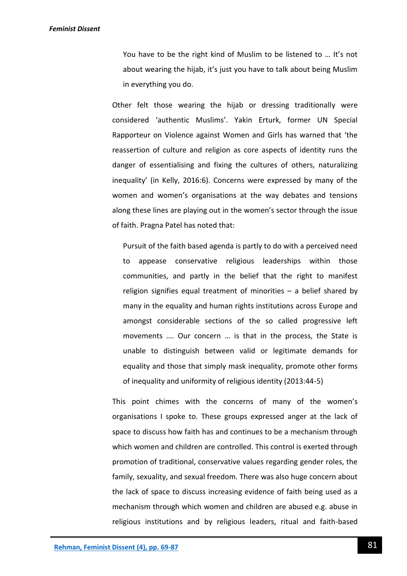You have to be the right kind of Muslim to be listened to … It's not about wearing the hijab, it's just you have to talk about being Muslim in everything you do.

Other felt those wearing the hijab or dressing traditionally were considered 'authentic Muslims'. Yakin Erturk, former UN Special Rapporteur on Violence against Women and Girls has warned that 'the reassertion of culture and religion as core aspects of identity runs the danger of essentialising and fixing the cultures of others, naturalizing inequality' (in Kelly, 2016:6). Concerns were expressed by many of the women and women's organisations at the way debates and tensions along these lines are playing out in the women's sector through the issue of faith. Pragna Patel has noted that:

Pursuit of the faith based agenda is partly to do with a perceived need to appease conservative religious leaderships within those communities, and partly in the belief that the right to manifest religion signifies equal treatment of minorities – a belief shared by many in the equality and human rights institutions across Europe and amongst considerable sections of the so called progressive left movements …. Our concern … is that in the process, the State is unable to distinguish between valid or legitimate demands for equality and those that simply mask inequality, promote other forms of inequality and uniformity of religious identity (2013:44-5)

This point chimes with the concerns of many of the women's organisations I spoke to. These groups expressed anger at the lack of space to discuss how faith has and continues to be a mechanism through which women and children are controlled. This control is exerted through promotion of traditional, conservative values regarding gender roles, the family, sexuality, and sexual freedom. There was also huge concern about the lack of space to discuss increasing evidence of faith being used as a mechanism through which women and children are abused e.g. abuse in religious institutions and by religious leaders, ritual and faith-based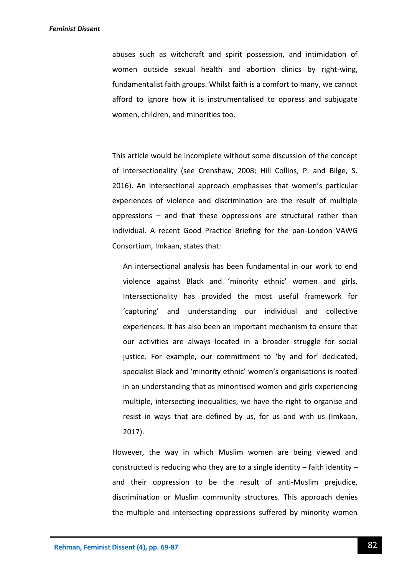abuses such as witchcraft and spirit possession, and intimidation of women outside sexual health and abortion clinics by right-wing, fundamentalist faith groups. Whilst faith is a comfort to many, we cannot afford to ignore how it is instrumentalised to oppress and subjugate women, children, and minorities too.

This article would be incomplete without some discussion of the concept of intersectionality (see Crenshaw, 2008; Hill Collins, P. and Bilge, S. 2016). An intersectional approach emphasises that women's particular experiences of violence and discrimination are the result of multiple oppressions – and that these oppressions are structural rather than individual. A recent Good Practice Briefing for the pan-London VAWG Consortium, Imkaan, states that:

An intersectional analysis has been fundamental in our work to end violence against Black and 'minority ethnic' women and girls. Intersectionality has provided the most useful framework for 'capturing' and understanding our individual and collective experiences. It has also been an important mechanism to ensure that our activities are always located in a broader struggle for social justice. For example, our commitment to 'by and for' dedicated, specialist Black and 'minority ethnic' women's organisations is rooted in an understanding that as minoritised women and girls experiencing multiple, intersecting inequalities, we have the right to organise and resist in ways that are defined by us, for us and with us (Imkaan, 2017).

However, the way in which Muslim women are being viewed and constructed is reducing who they are to a single identity – faith identity – and their oppression to be the result of anti-Muslim prejudice, discrimination or Muslim community structures. This approach denies the multiple and intersecting oppressions suffered by minority women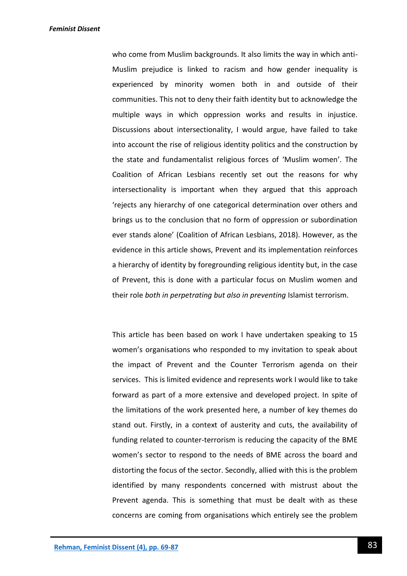who come from Muslim backgrounds. It also limits the way in which anti-Muslim prejudice is linked to racism and how gender inequality is experienced by minority women both in and outside of their communities. This not to deny their faith identity but to acknowledge the multiple ways in which oppression works and results in injustice. Discussions about intersectionality, I would argue, have failed to take into account the rise of religious identity politics and the construction by the state and fundamentalist religious forces of 'Muslim women'. The Coalition of African Lesbians recently set out the reasons for why intersectionality is important when they argued that this approach 'rejects any hierarchy of one categorical determination over others and brings us to the conclusion that no form of oppression or subordination ever stands alone' (Coalition of African Lesbians, 2018). However, as the evidence in this article shows, Prevent and its implementation reinforces a hierarchy of identity by foregrounding religious identity but, in the case of Prevent, this is done with a particular focus on Muslim women and their role *both in perpetrating but also in preventing* Islamist terrorism.

This article has been based on work I have undertaken speaking to 15 women's organisations who responded to my invitation to speak about the impact of Prevent and the Counter Terrorism agenda on their services. This is limited evidence and represents work I would like to take forward as part of a more extensive and developed project. In spite of the limitations of the work presented here, a number of key themes do stand out. Firstly, in a context of austerity and cuts, the availability of funding related to counter-terrorism is reducing the capacity of the BME women's sector to respond to the needs of BME across the board and distorting the focus of the sector. Secondly, allied with this is the problem identified by many respondents concerned with mistrust about the Prevent agenda. This is something that must be dealt with as these concerns are coming from organisations which entirely see the problem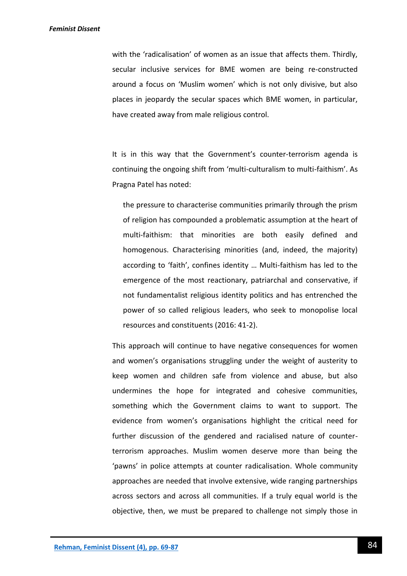with the 'radicalisation' of women as an issue that affects them. Thirdly, secular inclusive services for BME women are being re-constructed around a focus on 'Muslim women' which is not only divisive, but also places in jeopardy the secular spaces which BME women, in particular, have created away from male religious control.

It is in this way that the Government's counter-terrorism agenda is continuing the ongoing shift from 'multi-culturalism to multi-faithism'. As Pragna Patel has noted:

the pressure to characterise communities primarily through the prism of religion has compounded a problematic assumption at the heart of multi-faithism: that minorities are both easily defined and homogenous. Characterising minorities (and, indeed, the majority) according to 'faith', confines identity … Multi-faithism has led to the emergence of the most reactionary, patriarchal and conservative, if not fundamentalist religious identity politics and has entrenched the power of so called religious leaders, who seek to monopolise local resources and constituents (2016: 41-2).

This approach will continue to have negative consequences for women and women's organisations struggling under the weight of austerity to keep women and children safe from violence and abuse, but also undermines the hope for integrated and cohesive communities, something which the Government claims to want to support. The evidence from women's organisations highlight the critical need for further discussion of the gendered and racialised nature of counterterrorism approaches. Muslim women deserve more than being the 'pawns' in police attempts at counter radicalisation. Whole community approaches are needed that involve extensive, wide ranging partnerships across sectors and across all communities. If a truly equal world is the objective, then, we must be prepared to challenge not simply those in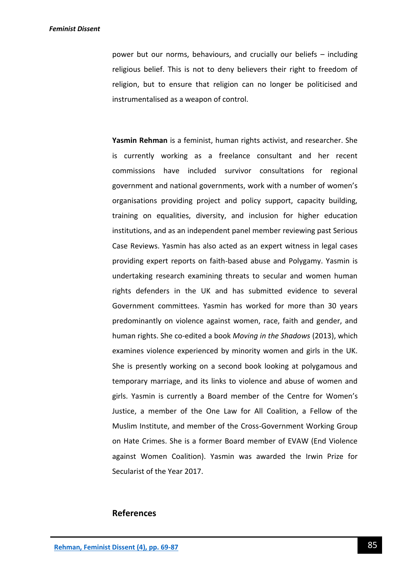power but our norms, behaviours, and crucially our beliefs – including religious belief. This is not to deny believers their right to freedom of religion, but to ensure that religion can no longer be politicised and instrumentalised as a weapon of control.

**Yasmin Rehman** is a feminist, human rights activist, and researcher. She is currently working as a freelance consultant and her recent commissions have included survivor consultations for regional government and national governments, work with a number of women's organisations providing project and policy support, capacity building, training on equalities, diversity, and inclusion for higher education institutions, and as an independent panel member reviewing past Serious Case Reviews. Yasmin has also acted as an expert witness in legal cases providing expert reports on faith-based abuse and Polygamy. Yasmin is undertaking research examining threats to secular and women human rights defenders in the UK and has submitted evidence to several Government committees. Yasmin has worked for more than 30 years predominantly on violence against women, race, faith and gender, and human rights. She co-edited a book *Moving in the Shadows* (2013), which examines violence experienced by minority women and girls in the UK. She is presently working on a second book looking at polygamous and temporary marriage, and its links to violence and abuse of women and girls. Yasmin is currently a Board member of the Centre for Women's Justice, a member of the One Law for All Coalition, a Fellow of the Muslim Institute, and member of the Cross-Government Working Group on Hate Crimes. She is a former Board member of EVAW (End Violence against Women Coalition). Yasmin was awarded the Irwin Prize for Secularist of the Year 2017.

# **References**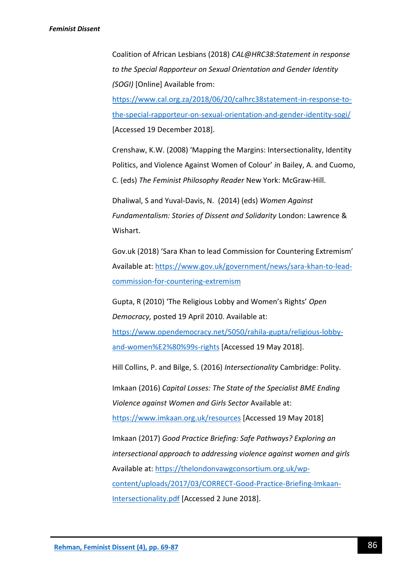Coalition of African Lesbians (2018) *CAL@HRC38:Statement in response to the Special Rapporteur on Sexual Orientation and Gender Identity (SOGI)* [Online] Available from:

[https://www.cal.org.za/2018/06/20/calhrc38statement-in-response-to](https://www.cal.org.za/2018/06/20/calhrc38statement-in-response-to-the-special-rapporteur-on-sexual-orientation-and-gender-identity-sogi/)[the-special-rapporteur-on-sexual-orientation-and-gender-identity-sogi/](https://www.cal.org.za/2018/06/20/calhrc38statement-in-response-to-the-special-rapporteur-on-sexual-orientation-and-gender-identity-sogi/) [Accessed 19 December 2018].

Crenshaw, K.W. (2008) 'Mapping the Margins: Intersectionality, Identity Politics, and Violence Against Women of Colour' *i*n Bailey, A. and Cuomo, C. (eds) *The Feminist Philosophy Reader* New York: McGraw-Hill.

Dhaliwal, S and Yuval-Davis, N. (2014) (eds) *Women Against Fundamentalism: Stories of Dissent and Solidarity* London: Lawrence & Wishart.

Gov.uk (2018) 'Sara Khan to lead Commission for Countering Extremism' Available at: [https://www.gov.uk/government/news/sara-khan-to-lead](https://www.gov.uk/government/news/sara-khan-to-lead-commission-for-countering-extremism)[commission-for-countering-extremism](https://www.gov.uk/government/news/sara-khan-to-lead-commission-for-countering-extremism)

Gupta, R (2010) 'The Religious Lobby and Women's Rights' *Open Democracy,* posted 19 April 2010. Available at:

[https://www.opendemocracy.net/5050/rahila-gupta/religious-lobby](https://www.opendemocracy.net/5050/rahila-gupta/religious-lobby-and-women’s-rights)[and-women%E2%80%99s-rights](https://www.opendemocracy.net/5050/rahila-gupta/religious-lobby-and-women’s-rights) [Accessed 19 May 2018].

Hill Collins, P. and Bilge, S. (2016) *Intersectionality* Cambridge: Polity.

Imkaan (2016) *Capital Losses: The State of the Specialist BME Ending Violence against Women and Girls Sector* Available at:

<https://www.imkaan.org.uk/resources> [Accessed 19 May 2018]

Imkaan (2017) *Good Practice Briefing: Safe Pathways? Exploring an intersectional approach to addressing violence against women and girls* Available at: [https://thelondonvawgconsortium.org.uk/wp](https://thelondonvawgconsortium.org.uk/wp-content/uploads/2017/03/CORRECT-Good-Practice-Briefing-Imkaan-Intersectionality.pdf)[content/uploads/2017/03/CORRECT-Good-Practice-Briefing-Imkaan-](https://thelondonvawgconsortium.org.uk/wp-content/uploads/2017/03/CORRECT-Good-Practice-Briefing-Imkaan-Intersectionality.pdf)[Intersectionality.pdf](https://thelondonvawgconsortium.org.uk/wp-content/uploads/2017/03/CORRECT-Good-Practice-Briefing-Imkaan-Intersectionality.pdf) [Accessed 2 June 2018].